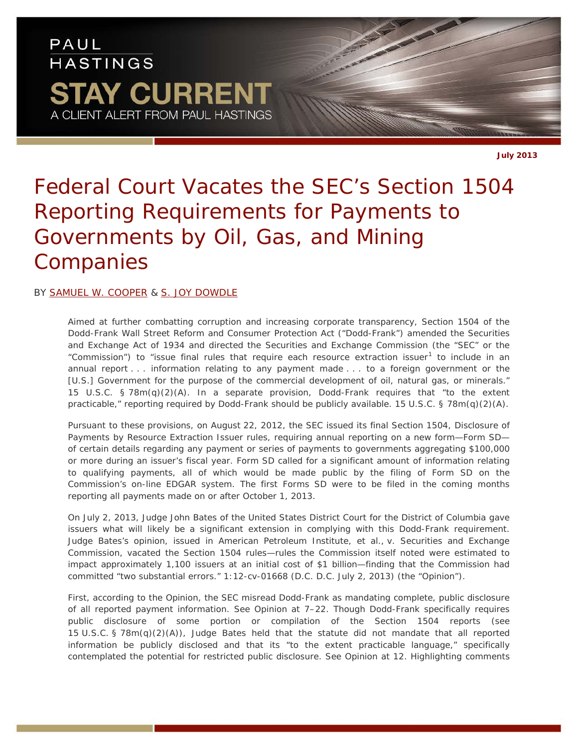## PAUL **HASTINGS STAY CURRENT** A CLIENT ALERT FROM PAUL HASTINGS

**July 2013**

# *Federal Court Vacates the SEC's Section 1504 Reporting Requirements for Payments to Governments by Oil, Gas, and Mining Companies*

### BY [SAMUEL W. COOPER](http://www.paulhastings.com/professionals/details/samuelcooper) & [S. JOY DOWDLE](http://www.paulhastings.com/professionals/details/joydowdle)

Aimed at further combatting corruption and increasing corporate transparency, Section 1504 of the Dodd-Frank Wall Street Reform and Consumer Protection Act ("Dodd-Frank") amended the Securities and Exchange Act of 1934 and directed the Securities and Exchange Commission (the "SEC" or the "Commission") to "issue final rules that require each resource extraction issuer<sup>[1](#page-2-0)</sup> to include in an annual report . . . information relating to any payment made . . . to a foreign government or the [U.S.] Government for the purpose of the commercial development of oil, natural gas, or minerals." 15 U.S.C. § 78m(q)(2)(A). In a separate provision, Dodd-Frank requires that "to the extent practicable," reporting required by Dodd-Frank should be publicly available. 15 U.S.C. § 78m(q)(2)(A).

Pursuant to these provisions, on August 22, 2012, the SEC issued its final Section 1504, Disclosure of Payments by Resource Extraction Issuer rules, requiring annual reporting on a new form—Form SD of certain details regarding any payment or series of payments to governments aggregating \$100,000 or more during an issuer's fiscal year. Form SD called for a significant amount of information relating to qualifying payments, all of which would be made public by the filing of Form SD on the Commission's on-line EDGAR system. The first Forms SD were to be filed in the coming months reporting all payments made on or after October 1, 2013.

On July 2, 2013, Judge John Bates of the United States District Court for the District of Columbia gave issuers what will likely be a significant extension in complying with this Dodd-Frank requirement. Judge Bates's opinion, issued in *American Petroleum Institute, et al., v. Securities and Exchange Commission*, vacated the Section 1504 rules—rules the Commission itself noted were estimated to impact approximately 1,100 issuers at an initial cost of \$1 billion—finding that the Commission had committed "two substantial errors." 1:12-cv-01668 (D.C. D.C. July 2, 2013) (the "Opinion").

First, according to the Opinion, the SEC misread Dodd-Frank as mandating complete, public disclosure of all reported payment information. *See* Opinion at 7–22. Though Dodd-Frank specifically requires public disclosure of some portion or compilation of the Section 1504 reports (*see* 15 U.S.C. § 78m(q)(2)(A)), Judge Bates held that the statute did not mandate that *all* reported information be publicly disclosed and that its "to the extent practicable language," specifically contemplated the potential for restricted public disclosure. *See* Opinion at 12. Highlighting comments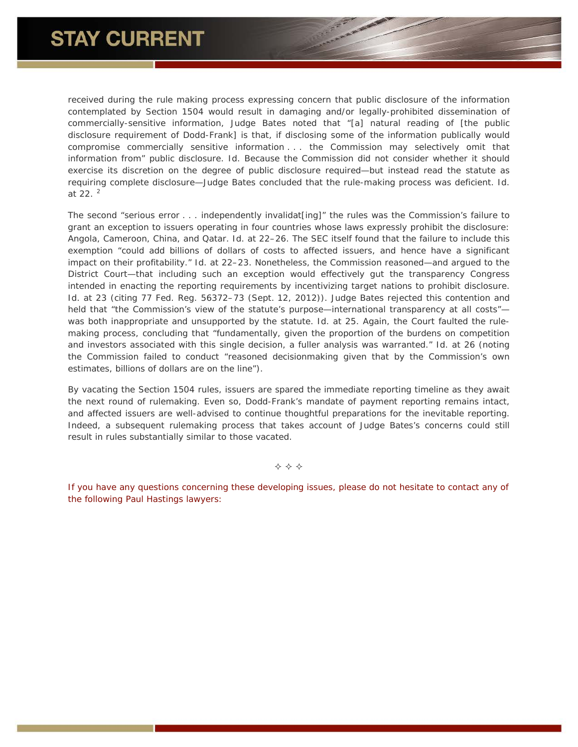received during the rule making process expressing concern that public disclosure of the information contemplated by Section 1504 would result in damaging and/or legally-prohibited dissemination of commercially-sensitive information, Judge Bates noted that "[a] natural reading of [the public disclosure requirement of Dodd-Frank] is that, if disclosing some of the information publically would compromise commercially sensitive information . . . the Commission may selectively omit that information from" public disclosure. *Id.* Because the Commission did not consider whether it should exercise its discretion on the degree of public disclosure required—but instead read the statute as requiring complete disclosure—Judge Bates concluded that the rule-making process was deficient. *Id.* at 22. [2](#page-2-1)

The second "serious error . . . independently invalidat[ing]" the rules was the Commission's failure to grant an exception to issuers operating in four countries whose laws expressly prohibit the disclosure: Angola, Cameroon, China, and Qatar. *Id.* at 22–26. The SEC itself found that the failure to include this exemption "could add billions of dollars of costs to affected issuers, and hence have a significant impact on their profitability." *Id.* at 22–23. Nonetheless, the Commission reasoned—and argued to the District Court—that including such an exception would effectively gut the transparency Congress intended in enacting the reporting requirements by incentivizing target nations to prohibit disclosure. *Id.* at 23 (citing 77 Fed. Reg. 56372–73 (Sept. 12, 2012)). Judge Bates rejected this contention and held that "the Commission's view of the statute's purpose—international transparency at all costs"was both inappropriate and unsupported by the statute. *Id.* at 25. Again, the Court faulted the rulemaking process, concluding that "fundamentally, given the proportion of the burdens on competition and investors associated with this single decision, a fuller analysis was warranted." *Id.* at 26 (noting the Commission failed to conduct "reasoned decisionmaking given that by the Commission's own estimates, billions of dollars are on the line").

By vacating the Section 1504 rules, issuers are spared the immediate reporting timeline as they await the next round of rulemaking. Even so, Dodd-Frank's mandate of payment reporting remains intact, and affected issuers are well-advised to continue thoughtful preparations for the inevitable reporting. Indeed, a subsequent rulemaking process that takes account of Judge Bates's concerns could still result in rules substantially similar to those vacated.

 $\Leftrightarrow$   $\Leftrightarrow$   $\Leftrightarrow$ 

*If you have any questions concerning these developing issues, please do not hesitate to contact any of the following Paul Hastings lawyers:*